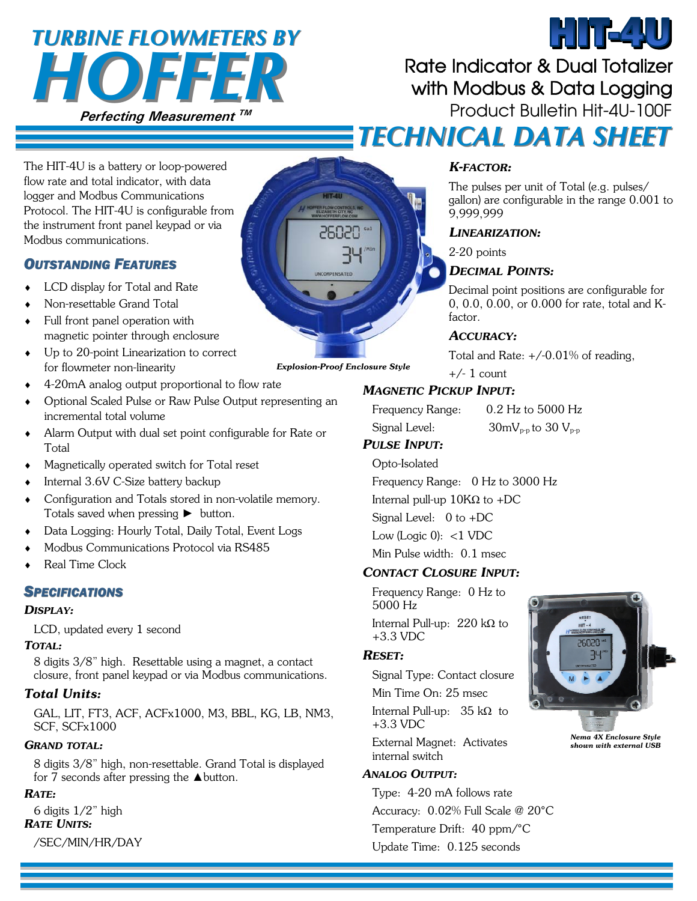# **HOFFER** *TURBINE FLOWMETERS BY TURBINE FLOWMETERS BY*

# Rate Indicator & Dual Totalizer with Modbus & Data Logging **Product Bulletin Hit-4U-100F**  *TECHNICAL DATA SHEET TECHNICAL DATA SHEET*

The HIT-4U is a battery or loop-powered flow rate and total indicator, with data logger and Modbus Communications Protocol. The HIT-4U is configurable from the instrument front panel keypad or via Modbus communications.

#### *OUTSTANDING FEATURES*

- LCD display for Total and Rate
- Non-resettable Grand Total
- Full front panel operation with magnetic pointer through enclosure
- Up to 20-point Linearization to correct for flowmeter non-linearity
- 4-20mA analog output proportional to flow rate
- Optional Scaled Pulse or Raw Pulse Output representing an incremental total volume
- Alarm Output with dual set point configurable for Rate or Total
- Magnetically operated switch for Total reset
- Internal 3.6V C-Size battery backup
- Configuration and Totals stored in non-volatile memory. Totals saved when pressing ► button.
- Data Logging: Hourly Total, Daily Total, Event Logs
- Modbus Communications Protocol via RS485
- Real Time Clock

#### *SPECIFICATIONS*

#### *DISPLAY:*

LCD, updated every 1 second

#### *TOTAL:*

8 digits 3/8" high. Resettable using a magnet, a contact closure, front panel keypad or via Modbus communications.

#### *Total Units:*

GAL, LIT, FT3, ACF, ACFx1000, M3, BBL, KG, LB, NM3, SCF, SCFx1000

#### *GRAND TOTAL:*

8 digits 3/8" high, non-resettable. Grand Total is displayed for 7 seconds after pressing the  $\triangle$  button.

#### *RATE:*

6 digits 1/2" high *RATE UNITS:*  /SEC/MIN/HR/DAY



# *K-FACTOR:*

The pulses per unit of Total (e.g. pulses/ gallon) are configurable in the range 0.001 to 9,999,999

HIT-4U

#### *LINEARIZATION:*

2-20 points

#### *DECIMAL POINTS:*

Decimal point positions are configurable for 0, 0.0, 0.00, or 0.000 for rate, total and K-

#### *ACCURACY:*

Total and Rate:  $+/-0.01\%$  of reading,

#### *MAGNETIC PICKUP INPUT:*

| Frequency Range: | 0.2 Hz to 5000 Hz                                          |
|------------------|------------------------------------------------------------|
| Signal Level:    | $30 \text{mV}_{\text{p-p}}$ to $30 \text{ V}_{\text{p-p}}$ |

#### *PULSE INPUT:*

Opto-Isolated Frequency Range: 0 Hz to 3000 Hz Internal pull-up  $10KΩ$  to +DC Signal Level: 0 to +DC Low (Logic  $0$ ): <1 VDC Min Pulse width: 0.1 msec

#### *CONTACT CLOSURE INPUT:*

Frequency Range: 0 Hz to 5000 Hz Internal Pull-up: 220 kΩ to +3.3 VDC

#### *RESET:*

Signal Type: Contact closure

Min Time On: 25 msec Internal Pull-up: 35 kΩ to +3.3 VDC

External Magnet: Activates internal switch

#### *ANALOG OUTPUT:*

Type: 4-20 mA follows rate Accuracy: 0.02% Full Scale @ 20°C Temperature Drift: 40 ppm/°C Update Time: 0.125 seconds



*Nema 4X Enclosure Style shown with external USB* 



# factor.

 $+/- 1$  count *Explosion-Proof Enclosure Style*